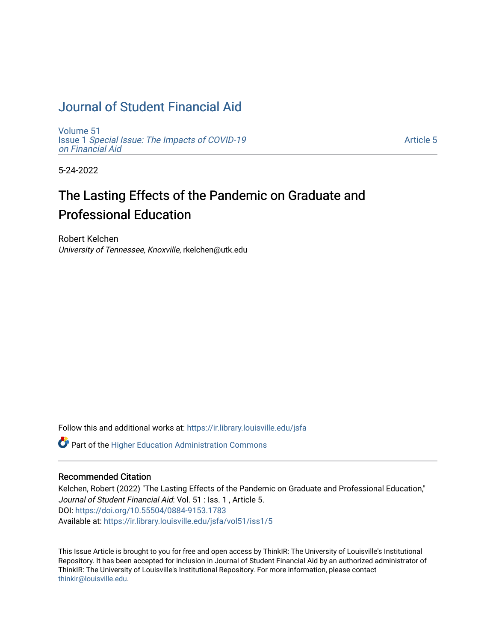## [Journal of Student Financial Aid](https://ir.library.louisville.edu/jsfa)

[Volume 51](https://ir.library.louisville.edu/jsfa/vol51) Issue 1 [Special Issue: The Impacts of COVID-19](https://ir.library.louisville.edu/jsfa/vol51/iss1)  [on Financial Aid](https://ir.library.louisville.edu/jsfa/vol51/iss1) 

[Article 5](https://ir.library.louisville.edu/jsfa/vol51/iss1/5) 

5-24-2022

# The Lasting Effects of the Pandemic on Graduate and Professional Education

Robert Kelchen University of Tennessee, Knoxville, rkelchen@utk.edu

Follow this and additional works at: [https://ir.library.louisville.edu/jsfa](https://ir.library.louisville.edu/jsfa?utm_source=ir.library.louisville.edu%2Fjsfa%2Fvol51%2Fiss1%2F5&utm_medium=PDF&utm_campaign=PDFCoverPages) 

Part of the [Higher Education Administration Commons](https://network.bepress.com/hgg/discipline/791?utm_source=ir.library.louisville.edu%2Fjsfa%2Fvol51%2Fiss1%2F5&utm_medium=PDF&utm_campaign=PDFCoverPages) 

#### Recommended Citation

Kelchen, Robert (2022) "The Lasting Effects of the Pandemic on Graduate and Professional Education," Journal of Student Financial Aid: Vol. 51 : Iss. 1 , Article 5. DOI:<https://doi.org/10.55504/0884-9153.1783> Available at: [https://ir.library.louisville.edu/jsfa/vol51/iss1/5](https://ir.library.louisville.edu/jsfa/vol51/iss1/5?utm_source=ir.library.louisville.edu%2Fjsfa%2Fvol51%2Fiss1%2F5&utm_medium=PDF&utm_campaign=PDFCoverPages) 

This Issue Article is brought to you for free and open access by ThinkIR: The University of Louisville's Institutional Repository. It has been accepted for inclusion in Journal of Student Financial Aid by an authorized administrator of ThinkIR: The University of Louisville's Institutional Repository. For more information, please contact [thinkir@louisville.edu.](mailto:thinkir@louisville.edu)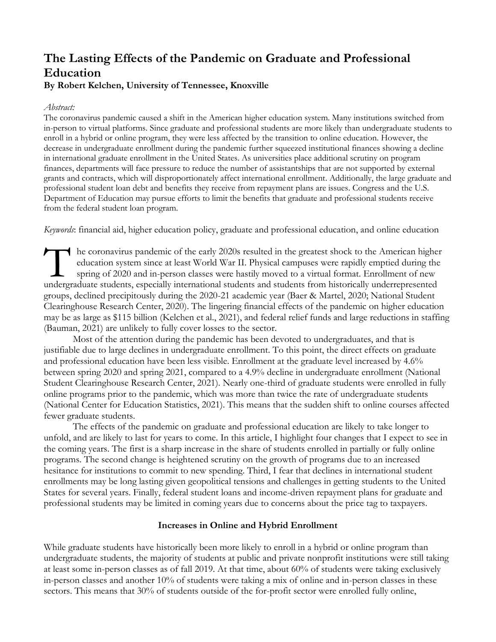## **The Lasting Effects of the Pandemic on Graduate and Professional Education**

## **By Robert Kelchen, University of Tennessee, Knoxville**

## *Abstract:*

The coronavirus pandemic caused a shift in the American higher education system. Many institutions switched from in-person to virtual platforms. Since graduate and professional students are more likely than undergraduate students to enroll in a hybrid or online program, they were less affected by the transition to online education. However, the decrease in undergraduate enrollment during the pandemic further squeezed institutional finances showing a decline in international graduate enrollment in the United States. As universities place additional scrutiny on program finances, departments will face pressure to reduce the number of assistantships that are not supported by external grants and contracts, which will disproportionately affect international enrollment. Additionally, the large graduate and professional student loan debt and benefits they receive from repayment plans are issues. Congress and the U.S. Department of Education may pursue efforts to limit the benefits that graduate and professional students receive from the federal student loan program.

*Keywords*: financial aid, higher education policy, graduate and professional education, and online education

he coronavirus pandemic of the early 2020s resulted in the greatest shock to the American higher education system since at least World War II. Physical campuses were rapidly emptied during the spring of 2020 and in-person classes were hastily moved to a virtual format. Enrollment of new In the coronavirus pandemic of the early 2020s resulted in the greatest shock to the American highered during the spring of 2020 and in-person classes were hastily moved to a virtual format. Enrollment of new undergraduate groups, declined precipitously during the 2020-21 academic year (Baer & Martel, 2020; National Student Clearinghouse Research Center, 2020). The lingering financial effects of the pandemic on higher education may be as large as \$115 billion (Kelchen et al., 2021), and federal relief funds and large reductions in staffing (Bauman, 2021) are unlikely to fully cover losses to the sector.

Most of the attention during the pandemic has been devoted to undergraduates, and that is justifiable due to large declines in undergraduate enrollment. To this point, the direct effects on graduate and professional education have been less visible. Enrollment at the graduate level increased by 4.6% between spring 2020 and spring 2021, compared to a 4.9% decline in undergraduate enrollment (National Student Clearinghouse Research Center, 2021). Nearly one-third of graduate students were enrolled in fully online programs prior to the pandemic, which was more than twice the rate of undergraduate students (National Center for Education Statistics, 2021). This means that the sudden shift to online courses affected fewer graduate students.

The effects of the pandemic on graduate and professional education are likely to take longer to unfold, and are likely to last for years to come. In this article, I highlight four changes that I expect to see in the coming years. The first is a sharp increase in the share of students enrolled in partially or fully online programs. The second change is heightened scrutiny on the growth of programs due to an increased hesitance for institutions to commit to new spending. Third, I fear that declines in international student enrollments may be long lasting given geopolitical tensions and challenges in getting students to the United States for several years. Finally, federal student loans and income-driven repayment plans for graduate and professional students may be limited in coming years due to concerns about the price tag to taxpayers.

## **Increases in Online and Hybrid Enrollment**

While graduate students have historically been more likely to enroll in a hybrid or online program than undergraduate students, the majority of students at public and private nonprofit institutions were still taking at least some in-person classes as of fall 2019. At that time, about 60% of students were taking exclusively in-person classes and another 10% of students were taking a mix of online and in-person classes in these sectors. This means that 30% of students outside of the for-profit sector were enrolled fully online,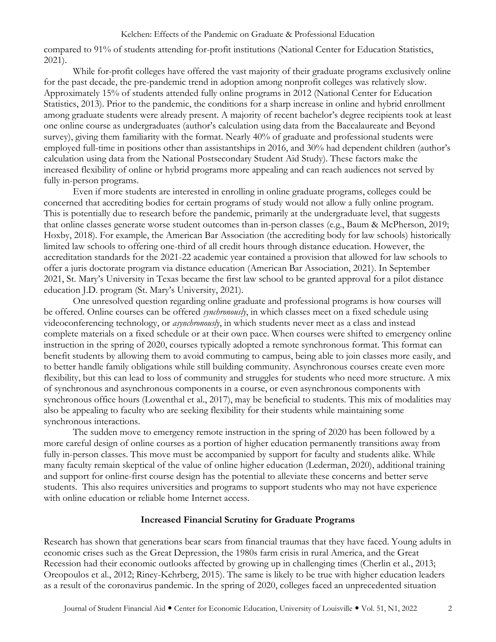#### Kelchen: Effects of the Pandemic on Graduate & Professional Education

compared to 91% of students attending for-profit institutions (National Center for Education Statistics, 2021).

While for-profit colleges have offered the vast majority of their graduate programs exclusively online for the past decade, the pre-pandemic trend in adoption among nonprofit colleges was relatively slow. Approximately 15% of students attended fully online programs in 2012 (National Center for Education Statistics, 2013). Prior to the pandemic, the conditions for a sharp increase in online and hybrid enrollment among graduate students were already present. A majority of recent bachelor's degree recipients took at least one online course as undergraduates (author's calculation using data from the Baccalaureate and Beyond survey), giving them familiarity with the format. Nearly 40% of graduate and professional students were employed full-time in positions other than assistantships in 2016, and 30% had dependent children (author's calculation using data from the National Postsecondary Student Aid Study). These factors make the increased flexibility of online or hybrid programs more appealing and can reach audiences not served by fully in-person programs.

Even if more students are interested in enrolling in online graduate programs, colleges could be concerned that accrediting bodies for certain programs of study would not allow a fully online program. This is potentially due to research before the pandemic, primarily at the undergraduate level, that suggests that online classes generate worse student outcomes than in-person classes (e.g., Baum & McPherson, 2019; Hoxby, 2018). For example, the American Bar Association (the accrediting body for law schools) historically limited law schools to offering one-third of all credit hours through distance education. However, the accreditation standards for the 2021-22 academic year contained a provision that allowed for law schools to offer a juris doctorate program via distance education (American Bar Association, 2021). In September 2021, St. Mary's University in Texas became the first law school to be granted approval for a pilot distance education J.D. program (St. Mary's University, 2021).

One unresolved question regarding online graduate and professional programs is how courses will be offered. Online courses can be offered *synchronously*, in which classes meet on a fixed schedule using videoconferencing technology, or *asynchronously*, in which students never meet as a class and instead complete materials on a fixed schedule or at their own pace. When courses were shifted to emergency online instruction in the spring of 2020, courses typically adopted a remote synchronous format. This format can benefit students by allowing them to avoid commuting to campus, being able to join classes more easily, and to better handle family obligations while still building community. Asynchronous courses create even more flexibility, but this can lead to loss of community and struggles for students who need more structure. A mix of synchronous and asynchronous components in a course, or even asynchronous components with synchronous office hours (Lowenthal et al., 2017), may be beneficial to students. This mix of modalities may also be appealing to faculty who are seeking flexibility for their students while maintaining some synchronous interactions.

The sudden move to emergency remote instruction in the spring of 2020 has been followed by a more careful design of online courses as a portion of higher education permanently transitions away from fully in-person classes. This move must be accompanied by support for faculty and students alike. While many faculty remain skeptical of the value of online higher education (Lederman, 2020), additional training and support for online-first course design has the potential to alleviate these concerns and better serve students. This also requires universities and programs to support students who may not have experience with online education or reliable home Internet access.

### **Increased Financial Scrutiny for Graduate Programs**

Research has shown that generations bear scars from financial traumas that they have faced. Young adults in economic crises such as the Great Depression, the 1980s farm crisis in rural America, and the Great Recession had their economic outlooks affected by growing up in challenging times (Cherlin et al., 2013; Oreopoulos et al., 2012; Riney-Kehrberg, 2015). The same is likely to be true with higher education leaders as a result of the coronavirus pandemic. In the spring of 2020, colleges faced an unprecedented situation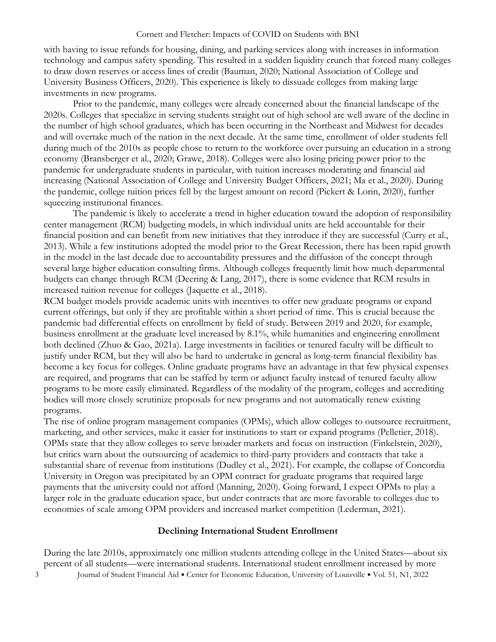#### Cornett and Fletcher: Impacts of COVID on Students with BNI

with having to issue refunds for housing, dining, and parking services along with increases in information technology and campus safety spending. This resulted in a sudden liquidity crunch that forced many colleges to draw down reserves or access lines of credit (Bauman, 2020; National Association of College and University Business Officers, 2020). This experience is likely to dissuade colleges from making large investments in new programs.

Prior to the pandemic, many colleges were already concerned about the financial landscape of the 2020s. Colleges that specialize in serving students straight out of high school are well aware of the decline in the number of high school graduates, which has been occurring in the Northeast and Midwest for decades and will overtake much of the nation in the next decade. At the same time, enrollment of older students fell during much of the 2010s as people chose to return to the workforce over pursuing an education in a strong economy (Bransberger et al., 2020; Grawe, 2018). Colleges were also losing pricing power prior to the pandemic for undergraduate students in particular, with tuition increases moderating and financial aid increasing (National Association of College and University Budget Officers, 2021; Ma et al., 2020). During the pandemic, college tuition prices fell by the largest amount on record (Pickert & Lorin, 2020), further squeezing institutional finances.

The pandemic is likely to accelerate a trend in higher education toward the adoption of responsibility center management (RCM) budgeting models, in which individual units are held accountable for their financial position and can benefit from new initiatives that they introduce if they are successful (Curry et al., 2013). While a few institutions adopted the model prior to the Great Recession, there has been rapid growth in the model in the last decade due to accountability pressures and the diffusion of the concept through several large higher education consulting firms. Although colleges frequently limit how much departmental budgets can change through RCM (Deering & Lang, 2017), there is some evidence that RCM results in increased tuition revenue for colleges (Jaquette et al., 2018).

RCM budget models provide academic units with incentives to offer new graduate programs or expand current offerings, but only if they are profitable within a short period of time. This is crucial because the pandemic had differential effects on enrollment by field of study. Between 2019 and 2020, for example, business enrollment at the graduate level increased by 8.1%, while humanities and engineering enrollment both declined (Zhuo & Gao, 2021a). Large investments in facilities or tenured faculty will be difficult to justify under RCM, but they will also be hard to undertake in general as long-term financial flexibility has become a key focus for colleges. Online graduate programs have an advantage in that few physical expenses are required, and programs that can be staffed by term or adjunct faculty instead of tenured faculty allow programs to be more easily eliminated. Regardless of the modality of the program, colleges and accrediting bodies will more closely scrutinize proposals for new programs and not automatically renew existing programs.

The rise of online program management companies (OPMs), which allow colleges to outsource recruitment, marketing, and other services, make it easier for institutions to start or expand programs (Pelletier, 2018). OPMs state that they allow colleges to serve broader markets and focus on instruction (Finkelstein, 2020), but critics warn about the outsourcing of academics to third-party providers and contracts that take a substantial share of revenue from institutions (Dudley et al., 2021). For example, the collapse of Concordia University in Oregon was precipitated by an OPM contract for graduate programs that required large payments that the university could not afford (Manning, 2020). Going forward, I expect OPMs to play a larger role in the graduate education space, but under contracts that are more favorable to colleges due to economies of scale among OPM providers and increased market competition (Lederman, 2021).

## **Declining International Student Enrollment**

3 Journal of Student Financial Aid · Center for Economic Education, University of Louisville · Vol. 51, N1, 2022 During the late 2010s, approximately one million students attending college in the United States—about six percent of all students—were international students. International student enrollment increased by more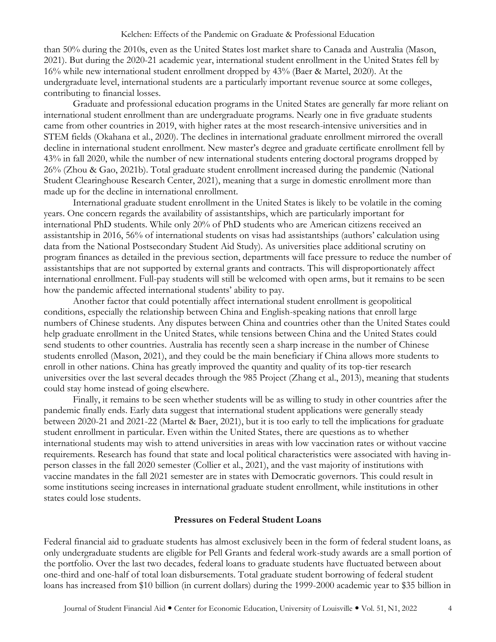than 50% during the 2010s, even as the United States lost market share to Canada and Australia (Mason, 2021). But during the 2020-21 academic year, international student enrollment in the United States fell by 16% while new international student enrollment dropped by 43% (Baer & Martel, 2020). At the undergraduate level, international students are a particularly important revenue source at some colleges, contributing to financial losses.

Graduate and professional education programs in the United States are generally far more reliant on international student enrollment than are undergraduate programs. Nearly one in five graduate students came from other countries in 2019, with higher rates at the most research-intensive universities and in STEM fields (Okahana et al., 2020). The declines in international graduate enrollment mirrored the overall decline in international student enrollment. New master's degree and graduate certificate enrollment fell by 43% in fall 2020, while the number of new international students entering doctoral programs dropped by 26% (Zhou & Gao, 2021b). Total graduate student enrollment increased during the pandemic (National Student Clearinghouse Research Center, 2021), meaning that a surge in domestic enrollment more than made up for the decline in international enrollment.

International graduate student enrollment in the United States is likely to be volatile in the coming years. One concern regards the availability of assistantships, which are particularly important for international PhD students. While only 20% of PhD students who are American citizens received an assistantship in 2016, 56% of international students on visas had assistantships (authors' calculation using data from the National Postsecondary Student Aid Study). As universities place additional scrutiny on program finances as detailed in the previous section, departments will face pressure to reduce the number of assistantships that are not supported by external grants and contracts. This will disproportionately affect international enrollment. Full-pay students will still be welcomed with open arms, but it remains to be seen how the pandemic affected international students' ability to pay.

Another factor that could potentially affect international student enrollment is geopolitical conditions, especially the relationship between China and English-speaking nations that enroll large numbers of Chinese students. Any disputes between China and countries other than the United States could help graduate enrollment in the United States, while tensions between China and the United States could send students to other countries. Australia has recently seen a sharp increase in the number of Chinese students enrolled (Mason, 2021), and they could be the main beneficiary if China allows more students to enroll in other nations. China has greatly improved the quantity and quality of its top-tier research universities over the last several decades through the 985 Project (Zhang et al., 2013), meaning that students could stay home instead of going elsewhere.

Finally, it remains to be seen whether students will be as willing to study in other countries after the pandemic finally ends. Early data suggest that international student applications were generally steady between 2020-21 and 2021-22 (Martel & Baer, 2021), but it is too early to tell the implications for graduate student enrollment in particular. Even within the United States, there are questions as to whether international students may wish to attend universities in areas with low vaccination rates or without vaccine requirements. Research has found that state and local political characteristics were associated with having inperson classes in the fall 2020 semester (Collier et al., 2021), and the vast majority of institutions with vaccine mandates in the fall 2021 semester are in states with Democratic governors. This could result in some institutions seeing increases in international graduate student enrollment, while institutions in other states could lose students.

### **Pressures on Federal Student Loans**

Federal financial aid to graduate students has almost exclusively been in the form of federal student loans, as only undergraduate students are eligible for Pell Grants and federal work-study awards are a small portion of the portfolio. Over the last two decades, federal loans to graduate students have fluctuated between about one-third and one-half of total loan disbursements. Total graduate student borrowing of federal student loans has increased from \$10 billion (in current dollars) during the 1999-2000 academic year to \$35 billion in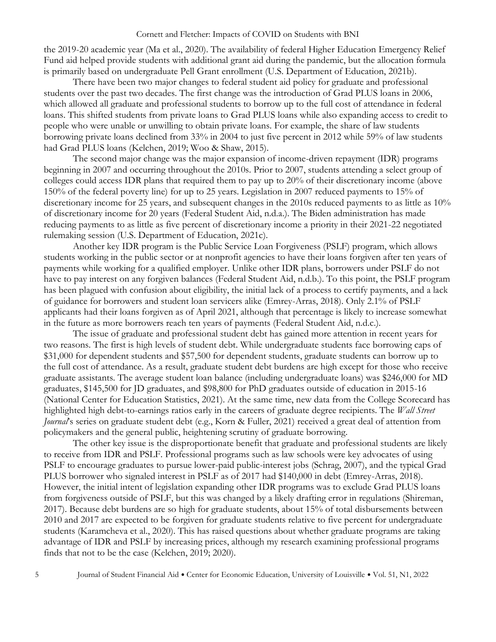#### Cornett and Fletcher: Impacts of COVID on Students with BNI

the 2019-20 academic year (Ma et al., 2020). The availability of federal Higher Education Emergency Relief Fund aid helped provide students with additional grant aid during the pandemic, but the allocation formula is primarily based on undergraduate Pell Grant enrollment (U.S. Department of Education, 2021b).

There have been two major changes to federal student aid policy for graduate and professional students over the past two decades. The first change was the introduction of Grad PLUS loans in 2006, which allowed all graduate and professional students to borrow up to the full cost of attendance in federal loans. This shifted students from private loans to Grad PLUS loans while also expanding access to credit to people who were unable or unwilling to obtain private loans. For example, the share of law students borrowing private loans declined from 33% in 2004 to just five percent in 2012 while 59% of law students had Grad PLUS loans (Kelchen, 2019; Woo & Shaw, 2015).

The second major change was the major expansion of income-driven repayment (IDR) programs beginning in 2007 and occurring throughout the 2010s. Prior to 2007, students attending a select group of colleges could access IDR plans that required them to pay up to 20% of their discretionary income (above 150% of the federal poverty line) for up to 25 years. Legislation in 2007 reduced payments to 15% of discretionary income for 25 years, and subsequent changes in the 2010s reduced payments to as little as 10% of discretionary income for 20 years (Federal Student Aid, n.d.a.). The Biden administration has made reducing payments to as little as five percent of discretionary income a priority in their 2021-22 negotiated rulemaking session (U.S. Department of Education, 2021c).

Another key IDR program is the Public Service Loan Forgiveness (PSLF) program, which allows students working in the public sector or at nonprofit agencies to have their loans forgiven after ten years of payments while working for a qualified employer. Unlike other IDR plans, borrowers under PSLF do not have to pay interest on any forgiven balances (Federal Student Aid, n.d.b.). To this point, the PSLF program has been plagued with confusion about eligibility, the initial lack of a process to certify payments, and a lack of guidance for borrowers and student loan servicers alike (Emrey-Arras, 2018). Only 2.1% of PSLF applicants had their loans forgiven as of April 2021, although that percentage is likely to increase somewhat in the future as more borrowers reach ten years of payments (Federal Student Aid, n.d.c.).

The issue of graduate and professional student debt has gained more attention in recent years for two reasons. The first is high levels of student debt. While undergraduate students face borrowing caps of \$31,000 for dependent students and \$57,500 for dependent students, graduate students can borrow up to the full cost of attendance. As a result, graduate student debt burdens are high except for those who receive graduate assistants. The average student loan balance (including undergraduate loans) was \$246,000 for MD graduates, \$145,500 for JD graduates, and \$98,800 for PhD graduates outside of education in 2015-16 (National Center for Education Statistics, 2021). At the same time, new data from the College Scorecard has highlighted high debt-to-earnings ratios early in the careers of graduate degree recipients. The *Wall Street Journal*'s series on graduate student debt (e.g., Korn & Fuller, 2021) received a great deal of attention from policymakers and the general public, heightening scrutiny of graduate borrowing.

The other key issue is the disproportionate benefit that graduate and professional students are likely to receive from IDR and PSLF. Professional programs such as law schools were key advocates of using PSLF to encourage graduates to pursue lower-paid public-interest jobs (Schrag, 2007), and the typical Grad PLUS borrower who signaled interest in PSLF as of 2017 had \$140,000 in debt (Emrey-Arras, 2018). However, the initial intent of legislation expanding other IDR programs was to exclude Grad PLUS loans from forgiveness outside of PSLF, but this was changed by a likely drafting error in regulations (Shireman, 2017). Because debt burdens are so high for graduate students, about 15% of total disbursements between 2010 and 2017 are expected to be forgiven for graduate students relative to five percent for undergraduate students (Karamcheva et al., 2020). This has raised questions about whether graduate programs are taking advantage of IDR and PSLF by increasing prices, although my research examining professional programs finds that not to be the case (Kelchen, 2019; 2020).

5 Journal of Student Financial Aid Center for Economic Education, University of Louisville Vol. 51, N1, 2022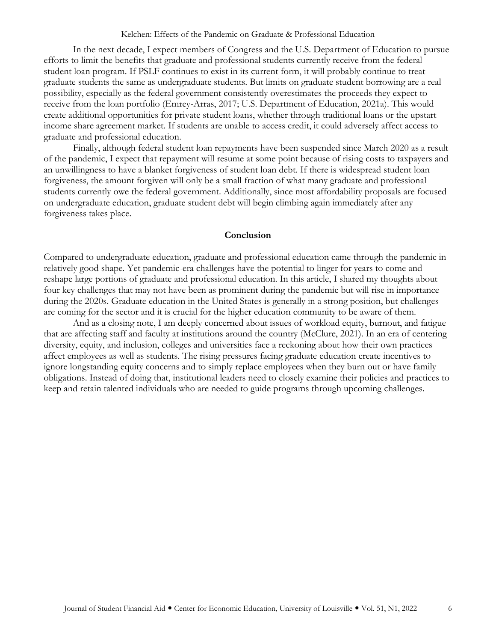#### Kelchen: Effects of the Pandemic on Graduate & Professional Education

In the next decade, I expect members of Congress and the U.S. Department of Education to pursue efforts to limit the benefits that graduate and professional students currently receive from the federal student loan program. If PSLF continues to exist in its current form, it will probably continue to treat graduate students the same as undergraduate students. But limits on graduate student borrowing are a real possibility, especially as the federal government consistently overestimates the proceeds they expect to receive from the loan portfolio (Emrey-Arras, 2017; U.S. Department of Education, 2021a). This would create additional opportunities for private student loans, whether through traditional loans or the upstart income share agreement market. If students are unable to access credit, it could adversely affect access to graduate and professional education.

Finally, although federal student loan repayments have been suspended since March 2020 as a result of the pandemic, I expect that repayment will resume at some point because of rising costs to taxpayers and an unwillingness to have a blanket forgiveness of student loan debt. If there is widespread student loan forgiveness, the amount forgiven will only be a small fraction of what many graduate and professional students currently owe the federal government. Additionally, since most affordability proposals are focused on undergraduate education, graduate student debt will begin climbing again immediately after any forgiveness takes place.

#### **Conclusion**

Compared to undergraduate education, graduate and professional education came through the pandemic in relatively good shape. Yet pandemic-era challenges have the potential to linger for years to come and reshape large portions of graduate and professional education. In this article, I shared my thoughts about four key challenges that may not have been as prominent during the pandemic but will rise in importance during the 2020s. Graduate education in the United States is generally in a strong position, but challenges are coming for the sector and it is crucial for the higher education community to be aware of them.

And as a closing note, I am deeply concerned about issues of workload equity, burnout, and fatigue that are affecting staff and faculty at institutions around the country (McClure, 2021). In an era of centering diversity, equity, and inclusion, colleges and universities face a reckoning about how their own practices affect employees as well as students. The rising pressures facing graduate education create incentives to ignore longstanding equity concerns and to simply replace employees when they burn out or have family obligations. Instead of doing that, institutional leaders need to closely examine their policies and practices to keep and retain talented individuals who are needed to guide programs through upcoming challenges.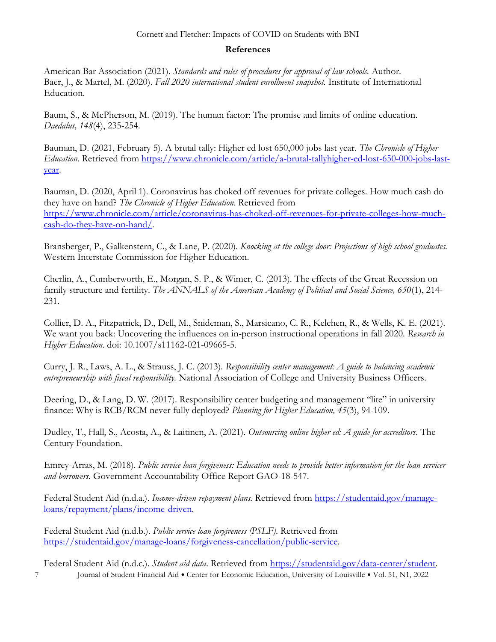## Cornett and Fletcher: Impacts of COVID on Students with BNI

## **References**

American Bar Association (2021). *Standards and rules of procedures for approval of law schools.* Author. Baer, J., & Martel, M. (2020). *Fall 2020 international student enrollment snapshot.* Institute of International Education.

Baum, S., & McPherson, M. (2019). The human factor: The promise and limits of online education. *Daedalus, 148*(4), 235-254.

Bauman, D. (2021, February 5). A brutal tally: Higher ed lost 650,000 jobs last year. *The Chronicle of Higher Education.* Retrieved from [https://www.chronicle.com/article/a-brutal-tallyhigher-ed-lost-650-000-jobs-last](https://www.chronicle.com/article/a-brutal-tallyhigher-ed-lost-650-000-jobs-last-year)[year.](https://www.chronicle.com/article/a-brutal-tallyhigher-ed-lost-650-000-jobs-last-year)

Bauman, D. (2020, April 1). Coronavirus has choked off revenues for private colleges. How much cash do they have on hand? *The Chronicle of Higher Education*. Retrieved from [https://www.chronicle.com/article/coronavirus-has-choked-off-revenues-for-private-colleges-how-much](https://www.chronicle.com/article/coronavirus-has-choked-off-revenues-for-private-colleges-how-much-cash-do-they-have-on-hand/)[cash-do-they-have-on-hand/.](https://www.chronicle.com/article/coronavirus-has-choked-off-revenues-for-private-colleges-how-much-cash-do-they-have-on-hand/)

Bransberger, P., Galkenstern, C., & Lane, P. (2020). *Knocking at the college door: Projections of high school graduates.*  Western Interstate Commission for Higher Education.

Cherlin, A., Cumberworth, E., Morgan, S. P., & Wimer, C. (2013). The effects of the Great Recession on family structure and fertility. *The ANNALS of the American Academy of Political and Social Science, 650*(1), 214- 231.

Collier, D. A., Fitzpatrick, D., Dell, M., Snideman, S., Marsicano, C. R., Kelchen, R., & Wells, K. E. (2021). We want you back: Uncovering the influences on in-person instructional operations in fall 2020*. Research in Higher Education*. doi: 10.1007/s11162-021-09665-5.

Curry, J. R., Laws, A. L., & Strauss, J. C. (2013). *Responsibility center management: A guide to balancing academic entrepreneurship with fiscal responsibility.* National Association of College and University Business Officers.

Deering, D., & Lang, D. W. (2017). Responsibility center budgeting and management "lite" in university finance: Why is RCB/RCM never fully deployed? *Planning for Higher Education, 45*(3), 94-109.

Dudley, T., Hall, S., Acosta, A., & Laitinen, A. (2021). *Outsourcing online higher ed: A guide for accreditors.* The Century Foundation.

Emrey-Arras, M. (2018). *Public service loan forgiveness: Education needs to provide better information for the loan servicer and borrowers.* Government Accountability Office Report GAO-18-547.

Federal Student Aid (n.d.a.). *Income-driven repayment plans*. Retrieved from [https://studentaid.gov/manage](https://studentaid.gov/manage-loans/repayment/plans/income-driven)[loans/repayment/plans/income-driven.](https://studentaid.gov/manage-loans/repayment/plans/income-driven)

Federal Student Aid (n.d.b.). *Public service loan forgiveness (PSLF)*. Retrieved from [https://studentaid.gov/manage-loans/forgiveness-cancellation/public-service.](https://studentaid.gov/manage-loans/forgiveness-cancellation/public-service)

7 Journal of Student Financial Aid · Center for Economic Education, University of Louisville · Vol. 51, N1, 2022 Federal Student Aid (n.d.c.). *Student aid data*. Retrieved from [https://studentaid.gov/data-center/student.](https://studentaid.gov/data-center/student)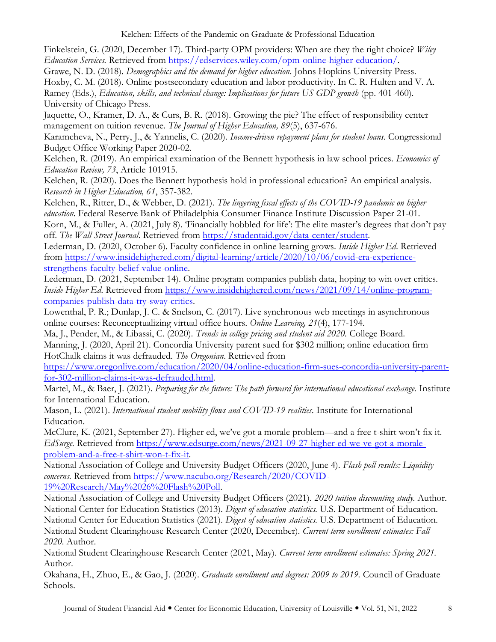Finkelstein, G. (2020, December 17). Third-party OPM providers: When are they the right choice? *Wiley Education Services.* Retrieved from [https://edservices.wiley.com/opm-online-higher-education/.](https://edservices.wiley.com/opm-online-higher-education/)

Grawe, N. D. (2018). *Demographics and the demand for higher education*. Johns Hopkins University Press.

Hoxby, C. M. (2018). Online postsecondary education and labor productivity. In C. R. Hulten and V. A. Ramey (Eds.), *Education, skills, and technical change: Implications for future US GDP growth* (pp. 401-460). University of Chicago Press.

Jaquette, O., Kramer, D. A., & Curs, B. R. (2018). Growing the pie? The effect of responsibility center management on tuition revenue. *The Journal of Higher Education, 89*(5), 637-676.

Karamcheva, N., Perry, J., & Yannelis, C. (2020). *Income-driven repayment plans for student loans.* Congressional Budget Office Working Paper 2020-02.

Kelchen, R. (2019). An empirical examination of the Bennett hypothesis in law school prices. *Economics of Education Review, 73*, Article 101915.

Kelchen, R. (2020). Does the Bennett hypothesis hold in professional education? An empirical analysis. *Research in Higher Education, 61*, 357-382.

Kelchen, R., Ritter, D., & Webber, D. (2021). *The lingering fiscal effects of the COVID-19 pandemic on higher education.* Federal Reserve Bank of Philadelphia Consumer Finance Institute Discussion Paper 21-01. Korn, M., & Fuller, A. (2021, July 8). 'Financially hobbled for life': The elite master's degrees that don't pay off. *The Wall Street Journal*. Retrieved from [https://studentaid.gov/data-center/student.](https://studentaid.gov/data-center/student)

Lederman, D. (2020, October 6). Faculty confidence in online learning grows. *Inside Higher Ed*. Retrieved from [https://www.insidehighered.com/digital-learning/article/2020/10/06/covid-era-experience](https://www.insidehighered.com/digital-learning/article/2020/10/06/covid-era-experience-strengthens-faculty-belief-value-online)[strengthens-faculty-belief-value-online.](https://www.insidehighered.com/digital-learning/article/2020/10/06/covid-era-experience-strengthens-faculty-belief-value-online)

Lederman, D. (2021, September 14). Online program companies publish data, hoping to win over critics. *Inside Higher Ed*. Retrieved from [https://www.insidehighered.com/news/2021/09/14/online-program](https://www.insidehighered.com/news/2021/09/14/online-program-companies-publish-data-try-sway-critics)[companies-publish-data-try-sway-critics.](https://www.insidehighered.com/news/2021/09/14/online-program-companies-publish-data-try-sway-critics)

Lowenthal, P. R.; Dunlap, J. C. & Snelson, C. (2017). Live synchronous web meetings in asynchronous online courses: Reconceptualizing virtual office hours. *Online Learning, 21*(4), 177-194.

Ma, J., Pender, M., & Libassi, C. (2020). *Trends in college pricing and student aid 2020.* College Board. Manning, J. (2020, April 21). Concordia University parent sued for \$302 million; online education firm HotChalk claims it was defrauded. *The Oregonian*. Retrieved from

[https://www.oregonlive.com/education/2020/04/online-education-firm-sues-concordia-university-parent](https://www.oregonlive.com/education/2020/04/online-education-firm-sues-concordia-university-parent-for-302-million-claims-it-was-defrauded.html)[for-302-million-claims-it-was-defrauded.html.](https://www.oregonlive.com/education/2020/04/online-education-firm-sues-concordia-university-parent-for-302-million-claims-it-was-defrauded.html)

Martel, M., & Baer, J. (2021). *Preparing for the future: The path forward for international educational exchange.* Institute for International Education.

Mason, L. (2021). *International student mobility flows and COVID-19 realities.* Institute for International Education.

McClure, K. (2021, September 27). Higher ed, we've got a morale problem—and a free t-shirt won't fix it. *EdSurge.* Retrieved from [https://www.edsurge.com/news/2021-09-27-higher-ed-we-ve-got-a-morale](https://www.edsurge.com/news/2021-09-27-higher-ed-we-ve-got-a-morale-problem-and-a-free-t-shirt-won-t-fix-it)[problem-and-a-free-t-shirt-won-t-fix-it.](https://www.edsurge.com/news/2021-09-27-higher-ed-we-ve-got-a-morale-problem-and-a-free-t-shirt-won-t-fix-it)

National Association of College and University Budget Officers (2020, June 4). *Flash poll results: Liquidity concerns.* Retrieved from [https://www.nacubo.org/Research/2020/COVID-](https://www.nacubo.org/Research/2020/COVID-19%20Research/May%2026%20Flash%20Poll)[19%20Research/May%2026%20Flash%20Poll.](https://www.nacubo.org/Research/2020/COVID-19%20Research/May%2026%20Flash%20Poll)

National Association of College and University Budget Officers (2021). *2020 tuition discounting study.* Author. National Center for Education Statistics (2013). *Digest of education statistics.* U.S. Department of Education. National Center for Education Statistics (2021). *Digest of education statistics.* U.S. Department of Education. National Student Clearinghouse Research Center (2020, December). *Current term enrollment estimates: Fall 2020.* Author.

National Student Clearinghouse Research Center (2021, May). *Current term enrollment estimates: Spring 2021.*  Author.

Okahana, H., Zhuo, E., & Gao, J. (2020). *Graduate enrollment and degrees: 2009 to 2019.* Council of Graduate Schools.